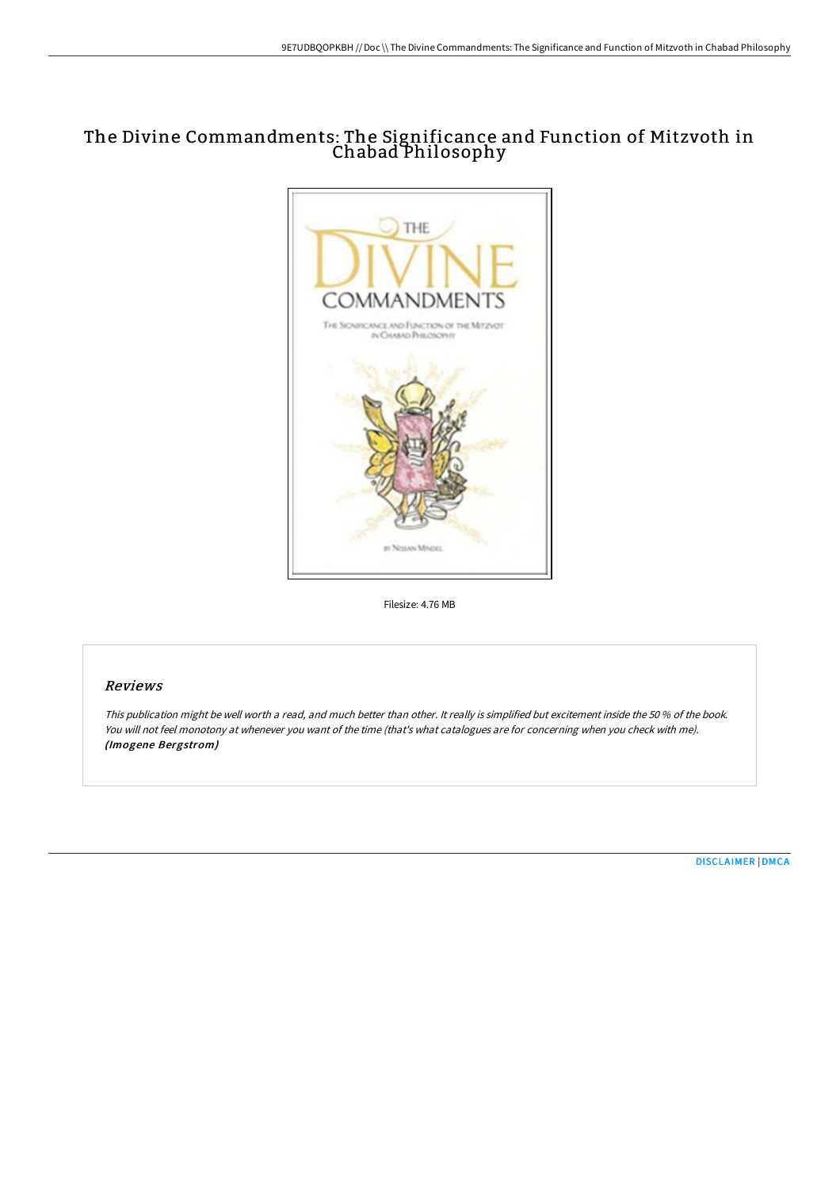# The Divine Commandments: The Significance and Function of Mitzvoth in Chabad Philosophy



Filesize: 4.76 MB

# Reviews

This publication might be well worth <sup>a</sup> read, and much better than other. It really is simplified but excitement inside the <sup>50</sup> % of the book. You will not feel monotony at whenever you want of the time (that's what catalogues are for concerning when you check with me). (Imogene Bergstrom)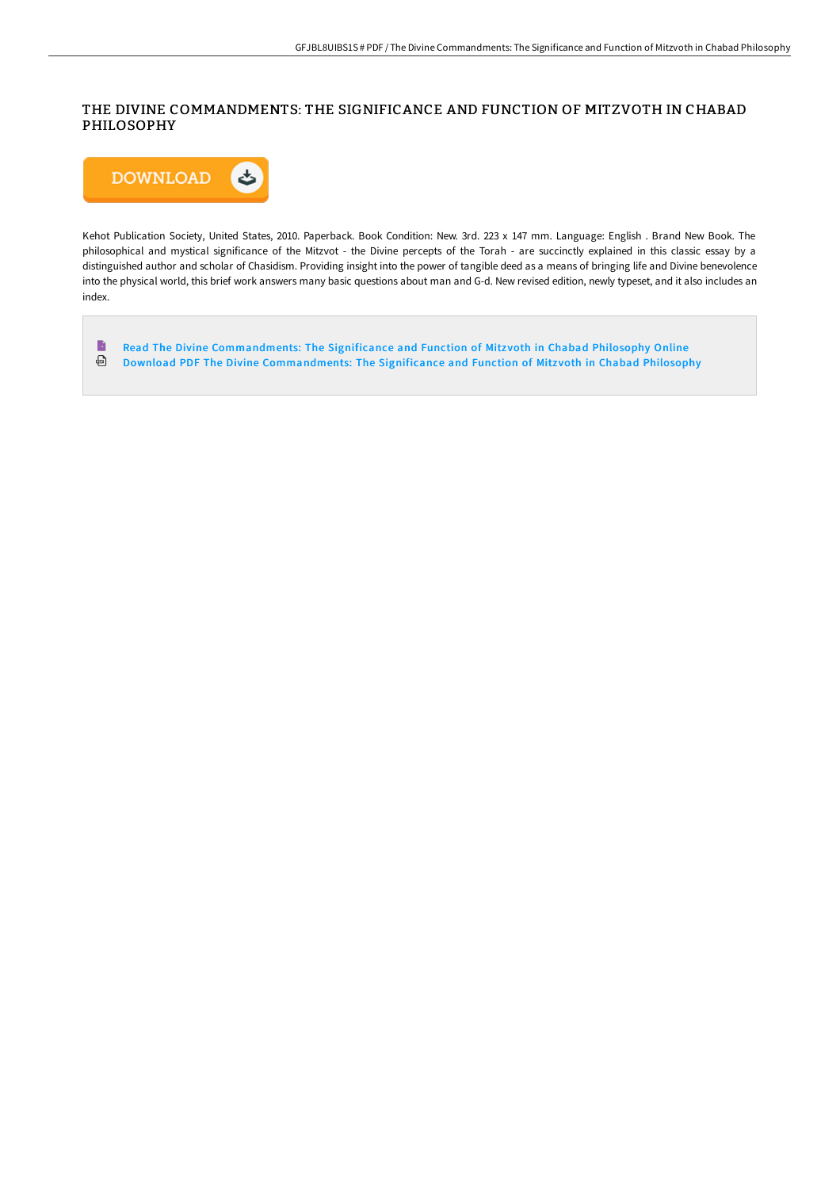# THE DIVINE COMMANDMENTS: THE SIGNIFICANCE AND FUNCTION OF MITZVOTH IN CHABAD PHILOSOPHY



Kehot Publication Society, United States, 2010. Paperback. Book Condition: New. 3rd. 223 x 147 mm. Language: English . Brand New Book. The philosophical and mystical significance of the Mitzvot - the Divine percepts of the Torah - are succinctly explained in this classic essay by a distinguished author and scholar of Chasidism. Providing insight into the power of tangible deed as a means of bringing life and Divine benevolence into the physical world, this brief work answers many basic questions about man and G-d. New revised edition, newly typeset, and it also includes an index.

 $\blacksquare$ Read The Divine [Commandments:](http://www.bookdirs.com/the-divine-commandments-the-significance-and-fun.html) The Significance and Function of Mitzvoth in Chabad Philosophy Online Download PDF The Divine [Commandments:](http://www.bookdirs.com/the-divine-commandments-the-significance-and-fun.html) The Significance and Function of Mitz voth in Chabad Philosophy